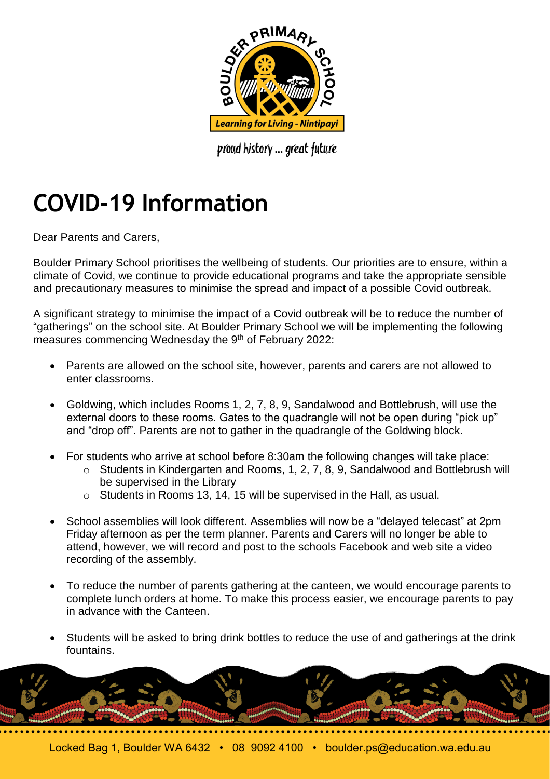

proud history ... great future

## **COVID-19 Information**

Dear Parents and Carers,

Boulder Primary School prioritises the wellbeing of students. Our priorities are to ensure, within a climate of Covid, we continue to provide educational programs and take the appropriate sensible and precautionary measures to minimise the spread and impact of a possible Covid outbreak.

A significant strategy to minimise the impact of a Covid outbreak will be to reduce the number of "gatherings" on the school site. At Boulder Primary School we will be implementing the following measures commencing Wednesday the 9<sup>th</sup> of February 2022:

- Parents are allowed on the school site, however, parents and carers are not allowed to enter classrooms.
- Goldwing, which includes Rooms 1, 2, 7, 8, 9, Sandalwood and Bottlebrush, will use the external doors to these rooms. Gates to the quadrangle will not be open during "pick up" and "drop off". Parents are not to gather in the quadrangle of the Goldwing block.
- For students who arrive at school before 8:30am the following changes will take place:
	- o Students in Kindergarten and Rooms, 1, 2, 7, 8, 9, Sandalwood and Bottlebrush will be supervised in the Library
	- o Students in Rooms 13, 14, 15 will be supervised in the Hall, as usual.
- School assemblies will look different. Assemblies will now be a "delayed telecast" at 2pm Friday afternoon as per the term planner. Parents and Carers will no longer be able to attend, however, we will record and post to the schools Facebook and web site a video recording of the assembly.
- To reduce the number of parents gathering at the canteen, we would encourage parents to complete lunch orders at home. To make this process easier, we encourage parents to pay in advance with the Canteen.
- Students will be asked to bring drink bottles to reduce the use of and gatherings at the drink fountains.